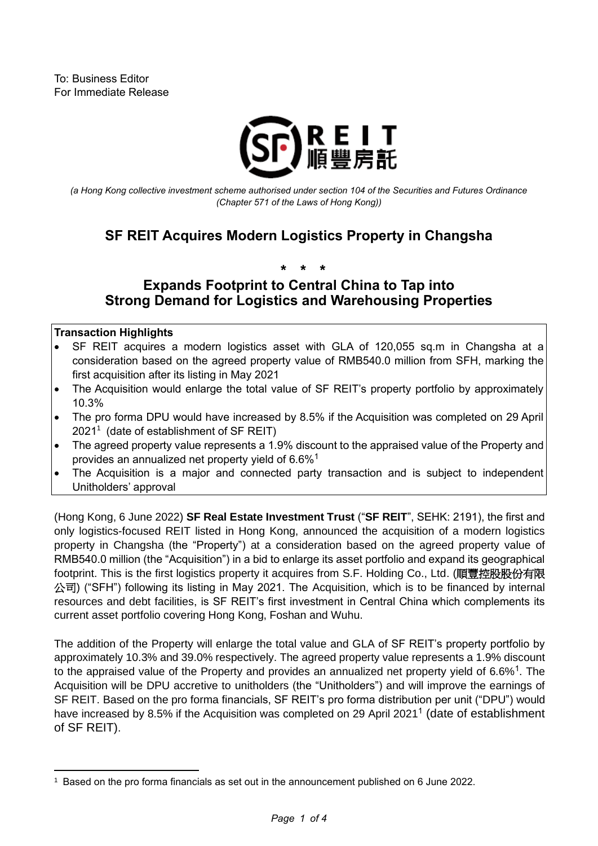

*(a Hong Kong collective investment scheme authorised under section 104 of the Securities and Futures Ordinance (Chapter 571 of the Laws of Hong Kong))*

# **SF REIT Acquires Modern Logistics Property in Changsha**

**\* \* \***

## **Expands Footprint to Central China to Tap into Strong Demand for Logistics and Warehousing Properties**

#### **Transaction Highlights**

- SF REIT acquires a modern logistics asset with GLA of 120,055 sq.m in Changsha at a consideration based on the agreed property value of RMB540.0 million from SFH, marking the first acquisition after its listing in May 2021
- The Acquisition would enlarge the total value of SF REIT's property portfolio by approximately 10.3%
- <span id="page-0-0"></span>• The pro forma DPU would have increased by 8.5% if the Acquisition was completed on 29 April 2021<sup>1</sup> (date of establishment of SF REIT)
- The agreed property value represents a 1.9% discount to the appraised value of the Property and provides an annualized net property yield of 6.6%[1](#page-0-0)
- The Acquisition is a major and connected party transaction and is subject to independent Unitholders' approval

(Hong Kong, 6 June 2022) **SF Real Estate Investment Trust** ("**SF REIT**", SEHK: 2191), the first and only logistics-focused REIT listed in Hong Kong, announced the acquisition of a modern logistics property in Changsha (the "Property") at a consideration based on the agreed property value of RMB540.0 million (the "Acquisition") in a bid to enlarge its asset portfolio and expand its geographical footprint. This is the first logistics property it acquires from S.F. Holding Co., Ltd. (順豐控股股份有限 公司) ("SFH") following its listing in May 2021. The Acquisition, which is to be financed by internal resources and debt facilities, is SF REIT's first investment in Central China which complements its current asset portfolio covering Hong Kong, Foshan and Wuhu.

The addition of the Property will enlarge the total value and GLA of SF REIT's property portfolio by approximately 10.3% and 39.0% respectively. The agreed property value represents a 1.9% discount to the appraised value of the Property and provides an annualized net property yield of 6.6%<sup>[1](#page-0-0)</sup>. The Acquisition will be DPU accretive to unitholders (the "Unitholders") and will improve the earnings of SF REIT. Based on the pro forma financials, SF REIT's pro forma distribution per unit ("DPU") would have increased by 8.5% if the Acquisition was completed on 29 April 202[1](#page-0-0)<sup>1</sup> (date of establishment of SF REIT).

<sup>1</sup> Based on the pro forma financials as set out in the announcement published on 6 June 2022.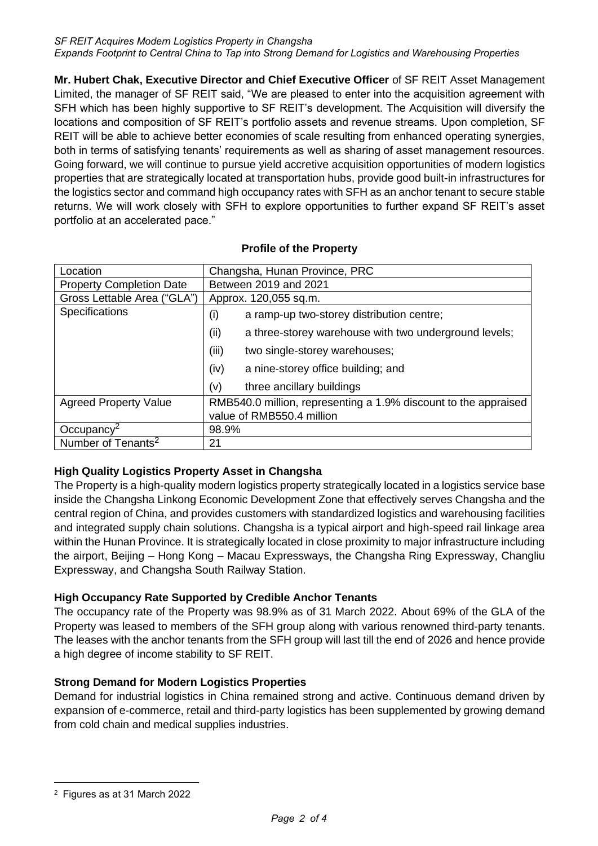**Mr. Hubert Chak, Executive Director and Chief Executive Officer** of SF REIT Asset Management Limited, the manager of SF REIT said, "We are pleased to enter into the acquisition agreement with SFH which has been highly supportive to SF REIT's development. The Acquisition will diversify the locations and composition of SF REIT's portfolio assets and revenue streams. Upon completion, SF REIT will be able to achieve better economies of scale resulting from enhanced operating synergies, both in terms of satisfying tenants' requirements as well as sharing of asset management resources. Going forward, we will continue to pursue yield accretive acquisition opportunities of modern logistics properties that are strategically located at transportation hubs, provide good built-in infrastructures for the logistics sector and command high occupancy rates with SFH as an anchor tenant to secure stable returns. We will work closely with SFH to explore opportunities to further expand SF REIT's asset portfolio at an accelerated pace."

| Location                        | Changsha, Hunan Province, PRC                                   |
|---------------------------------|-----------------------------------------------------------------|
| <b>Property Completion Date</b> | Between 2019 and 2021                                           |
| Gross Lettable Area ("GLA")     | Approx. 120,055 sq.m.                                           |
| <b>Specifications</b>           | (i)<br>a ramp-up two-storey distribution centre;                |
|                                 | (ii)<br>a three-storey warehouse with two underground levels;   |
|                                 | (iii)<br>two single-storey warehouses;                          |
|                                 | (iv)<br>a nine-storey office building; and                      |
|                                 | (v)<br>three ancillary buildings                                |
| <b>Agreed Property Value</b>    | RMB540.0 million, representing a 1.9% discount to the appraised |
|                                 | value of RMB550.4 million                                       |
| Occupancy <sup>2</sup>          | 98.9%                                                           |
| Number of Tenants <sup>2</sup>  | 21                                                              |

### **Profile of the Property**

### **High Quality Logistics Property Asset in Changsha**

The Property is a high-quality modern logistics property strategically located in a logistics service base inside the Changsha Linkong Economic Development Zone that effectively serves Changsha and the central region of China, and provides customers with standardized logistics and warehousing facilities and integrated supply chain solutions. Changsha is a typical airport and high-speed rail linkage area within the Hunan Province. It is strategically located in close proximity to major infrastructure including the airport, Beijing – Hong Kong – Macau Expressways, the Changsha Ring Expressway, Changliu Expressway, and Changsha South Railway Station.

### **High Occupancy Rate Supported by Credible Anchor Tenants**

The occupancy rate of the Property was 98.9% as of 31 March 2022. About 69% of the GLA of the Property was leased to members of the SFH group along with various renowned third-party tenants. The leases with the anchor tenants from the SFH group will last till the end of 2026 and hence provide a high degree of income stability to SF REIT.

### **Strong Demand for Modern Logistics Properties**

Demand for industrial logistics in China remained strong and active. Continuous demand driven by expansion of e-commerce, retail and third-party logistics has been supplemented by growing demand from cold chain and medical supplies industries.

<sup>2</sup> Figures as at 31 March 2022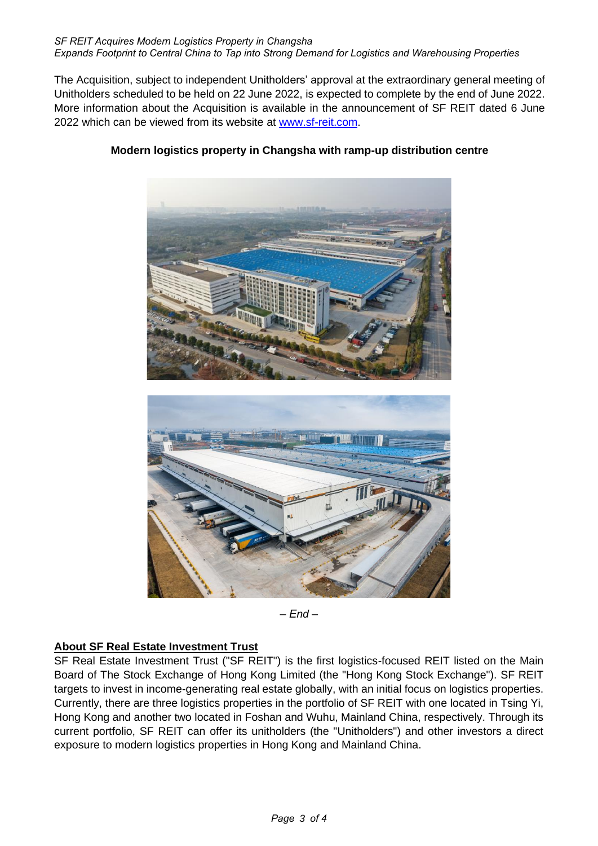#### *SF REIT Acquires Modern Logistics Property in Changsha Expands Footprint to Central China to Tap into Strong Demand for Logistics and Warehousing Properties*

The Acquisition, subject to independent Unitholders' approval at the extraordinary general meeting of Unitholders scheduled to be held on 22 June 2022, is expected to complete by the end of June 2022. More information about the Acquisition is available in the announcement of SF REIT dated 6 June 2022 which can be viewed from its website at [www.sf-reit.com.](http://www.sf-reit.com/)



## **Modern logistics property in Changsha with ramp-up distribution centre**

*– End –*

### **About SF Real Estate Investment Trust**

SF Real Estate Investment Trust ("SF REIT") is the first logistics-focused REIT listed on the Main Board of The Stock Exchange of Hong Kong Limited (the "Hong Kong Stock Exchange"). SF REIT targets to invest in income-generating real estate globally, with an initial focus on logistics properties. Currently, there are three logistics properties in the portfolio of SF REIT with one located in Tsing Yi, Hong Kong and another two located in Foshan and Wuhu, Mainland China, respectively. Through its current portfolio, SF REIT can offer its unitholders (the "Unitholders") and other investors a direct exposure to modern logistics properties in Hong Kong and Mainland China.